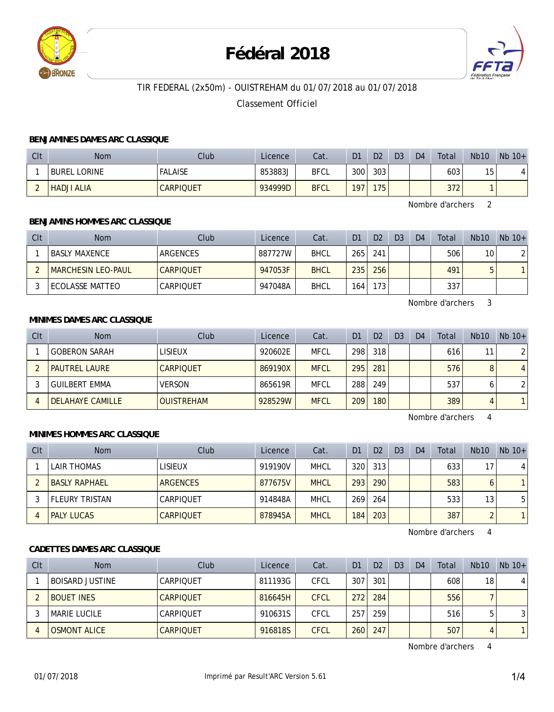

# **Fédéral 2018**



# TIR FEDERAL (2x50m) - OUISTREHAM du 01/07/2018 au 01/07/2018

## Classement Officiel

#### **BENJAMINES DAMES ARC CLASSIQUE**

| Clt | <b>Nom</b>          | Club             | Licence | Cat.        | D <sub>1</sub>   | D <sub>2</sub> | D <sub>3</sub> | D <sub>4</sub> | Total | <b>Nb10</b> | $Nb$ 10+ |
|-----|---------------------|------------------|---------|-------------|------------------|----------------|----------------|----------------|-------|-------------|----------|
|     | <b>BUREL LORINE</b> | <b>FALAISE</b>   | 853883J | <b>BFCL</b> | 300 <sub>1</sub> | 303            |                |                | 603   | 15          |          |
| -   | <b>HADJI ALIA</b>   | <b>CARPIQUET</b> | 934999D | <b>BFCL</b> | 197.             | 175            |                |                | 372   |             |          |

Nombre d'archers 2

## **BENJAMINS HOMMES ARC CLASSIQUE**

| CIt | <b>Nom</b>                | Club             | Licence | Cat.        | D1  | D <sub>2</sub> | D <sub>3</sub> | D <sub>4</sub> | Total | <b>Nb10</b>     | $Nb$ 10+ |
|-----|---------------------------|------------------|---------|-------------|-----|----------------|----------------|----------------|-------|-----------------|----------|
|     | <b>BASLY MAXENCE</b>      | ARGENCES         | 887727W | <b>BHCL</b> | 265 | 241            |                |                | 506   | 10 <sub>1</sub> |          |
|     | <b>MARCHESIN LEO-PAUL</b> | <b>CARPIOUET</b> | 947053F | <b>BHCL</b> | 235 | 256            |                |                | 491   | 5               |          |
|     | ECOLASSE MATTEO           | CARPIQUET        | 947048A | <b>BHCL</b> | 164 | 173.           |                |                | 337   |                 |          |

Nombre d'archers 3

#### **MINIMES DAMES ARC CLASSIQUE**

| CIt | <b>Nom</b>           | Club              | Licence | Cat.        | D <sub>1</sub> | D <sub>2</sub> | D <sub>3</sub> | D <sub>4</sub> | Total | Nb10 | $Nb$ 10+       |
|-----|----------------------|-------------------|---------|-------------|----------------|----------------|----------------|----------------|-------|------|----------------|
|     | <b>GOBERON SARAH</b> | LISIEUX           | 920602E | <b>MFCL</b> | 298            | 318            |                |                | 616   | 11   | $\overline{2}$ |
|     | <b>PAUTREL LAURE</b> | <b>CARPIQUET</b>  | 869190X | <b>MFCL</b> | 295            | 281            |                |                | 576   |      | $\overline{4}$ |
|     | <b>GUILBERT EMMA</b> | <b>VERSON</b>     | 865619R | <b>MFCL</b> | 288            | 249            |                |                | 537   |      | $\overline{2}$ |
|     | DELAHAYE CAMILLE     | <b>OUISTREHAM</b> | 928529W | <b>MFCL</b> | 209            | 180            |                |                | 389   | Д    | $\mathbf{1}$   |

Nombre d'archers 4

#### **MINIMES HOMMES ARC CLASSIQUE**

| C <sub>It</sub> | <b>Nom</b>            | Club             | Licence | Cat.        | D <sub>1</sub> | D <sub>2</sub> | D <sub>3</sub> | D <sub>4</sub> | Total | <b>Nb10</b> | $Nb$ 10+     |
|-----------------|-----------------------|------------------|---------|-------------|----------------|----------------|----------------|----------------|-------|-------------|--------------|
|                 | <b>LAIR THOMAS</b>    | <b>LISIEUX</b>   | 919190V | <b>MHCL</b> | 320            | 313            |                |                | 633   | 17          | 4            |
|                 | <b>BASLY RAPHAEL</b>  | <b>ARGENCES</b>  | 877675V | <b>MHCL</b> | 293            | 290            |                |                | 583   | 6           | $\mathbf{1}$ |
|                 | <b>FLEURY TRISTAN</b> | CARPIOUET        | 914848A | <b>MHCL</b> | 269            | 264            |                |                | 533   | 13          | 5            |
|                 | <b>PALY LUCAS</b>     | <b>CARPIOUET</b> | 878945A | <b>MHCL</b> | 184            | 203            |                |                | 387   | C           | $\mathbf{1}$ |

Nombre d'archers 4

## **CADETTES DAMES ARC CLASSIQUE**

| C <sub>It</sub> | <b>Nom</b>             | Club             | Licence | Cat.        | D <sub>1</sub> | D <sub>2</sub> | D <sub>3</sub> | D <sub>4</sub> | Total | Nb10 | $Nb 10+$ |
|-----------------|------------------------|------------------|---------|-------------|----------------|----------------|----------------|----------------|-------|------|----------|
|                 | <b>BOISARD JUSTINE</b> | CARPIOUET        | 811193G | CFCL        | 307            | 301            |                |                | 608   | 18   | 4        |
|                 | <b>BOUET INES</b>      | <b>CARPIOUET</b> | 816645H | <b>CFCL</b> | 272            | 284            |                |                | 556   |      |          |
|                 | <b>MARIE LUCILE</b>    | CARPIOUET        | 910631S | <b>CFCL</b> | 257            | 259            |                |                | 516   |      | 3        |
|                 | <b>OSMONT ALICE</b>    | <b>CARPIOUET</b> | 916818S | <b>CFCL</b> | 260            | 247            |                |                | 507   | д    |          |

Nombre d'archers 4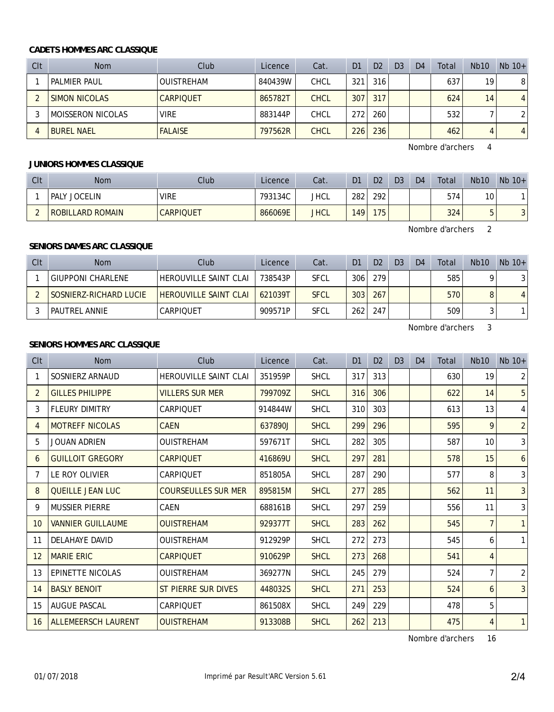#### **CADETS HOMMES ARC CLASSIQUE**

| CIt | <b>Nom</b>           | Club              | Licence | Cat.        | D <sub>1</sub>   | D <sub>2</sub> | D <sub>3</sub> | D <sub>4</sub> | Total | Nb10 | $Nb$ 10+       |
|-----|----------------------|-------------------|---------|-------------|------------------|----------------|----------------|----------------|-------|------|----------------|
|     | <b>PALMIER PAUL</b>  | <b>OUISTREHAM</b> | 840439W | CHCL        | 321              | 316            |                |                | 637   | 19   | 8              |
|     | <b>SIMON NICOLAS</b> | <b>CARPIOUET</b>  | 865782T | <b>CHCL</b> | 307              | 317            |                |                | 624   | 14   | $\overline{4}$ |
|     | MOISSERON NICOLAS    | <b>VIRE</b>       | 883144P | CHCL        | 272 <sub>1</sub> | 260            |                |                | 532   |      |                |
|     | <b>BUREL NAEL</b>    | <b>FALAISE</b>    | 797562R | <b>CHCL</b> | 226              | 236            |                |                | 462   | 4    | $\overline{4}$ |

Nombre d'archers 4

## **JUNIORS HOMMES CLASSIQUE**

| Clt                 | <b>Nom</b>                    | Club             | Licence | Cat.        | D <sub>1</sub> | D <sub>2</sub> | D <sub>3</sub> | D <sub>4</sub> | Total | <b>Nb10</b>     | $Nb$ 10+ |
|---------------------|-------------------------------|------------------|---------|-------------|----------------|----------------|----------------|----------------|-------|-----------------|----------|
|                     | <b>JOCELIN</b><br><b>PALY</b> | <b>VIRE</b>      | 793134C | <b>JHCL</b> | 282            | 292            |                |                | 574   | 10 <sub>1</sub> |          |
| $\overline{ }$<br>- | <b>ROBILLARD ROMAIN</b>       | <b>CARPIQUET</b> | 866069E | <b>JHCL</b> | 149            | 175            |                |                | 324   |                 | ີ<br>◡   |

Nombre d'archers 2

# **SENIORS DAMES ARC CLASSIQUE**

| CIt | <b>Nom</b>               | Club                         | Licence | Cat.        | D1  | D <sub>2</sub> | D <sub>3</sub> | D <sub>4</sub> | Total | N <sub>b</sub> 10 | $Nb 10+$ |
|-----|--------------------------|------------------------------|---------|-------------|-----|----------------|----------------|----------------|-------|-------------------|----------|
|     | <b>GIUPPONI CHARLENE</b> | <b>HEROUVILLE SAINT CLAI</b> | 738543P | <b>SFCL</b> | 306 | 279            |                |                | 585   |                   |          |
|     | SOSNIERZ-RICHARD LUCIE   | <b>HEROUVILLE SAINT CLAI</b> | 621039T | <b>SFCL</b> | 303 | 267            |                |                | 570   |                   | 4        |
|     | PAUTREL ANNIE            | CARPIOUET                    | 909571P | <b>SFCL</b> | 262 | 247            |                |                | 509   |                   |          |

Nombre d'archers 3

## **SENIORS HOMMES ARC CLASSIQUE**

| C <sub>It</sub> | <b>Nom</b>                 | Club                         | Licence | Cat.        | D1  | D2  | D <sub>3</sub> | D <sub>4</sub> | Total | N <sub>b</sub> 10 | $Nb$ 10+       |
|-----------------|----------------------------|------------------------------|---------|-------------|-----|-----|----------------|----------------|-------|-------------------|----------------|
| 1               | SOSNIERZ ARNAUD            | <b>HEROUVILLE SAINT CLAI</b> | 351959P | <b>SHCL</b> | 317 | 313 |                |                | 630   | 19                | 2              |
| $\overline{2}$  | <b>GILLES PHILIPPE</b>     | <b>VILLERS SUR MER</b>       | 799709Z | <b>SHCL</b> | 316 | 306 |                |                | 622   | 14                | 5              |
| 3               | <b>FLEURY DIMITRY</b>      | CARPIOUET                    | 914844W | <b>SHCL</b> | 310 | 303 |                |                | 613   | 13                | 4              |
| 4               | <b>MOTREFF NICOLAS</b>     | <b>CAEN</b>                  | 637890J | <b>SHCL</b> | 299 | 296 |                |                | 595   | 9                 | $\overline{2}$ |
| 5               | <b>JOUAN ADRIEN</b>        | <b>OUISTREHAM</b>            | 597671T | <b>SHCL</b> | 282 | 305 |                |                | 587   | 10 <sup>°</sup>   | 3              |
| 6               | <b>GUILLOIT GREGORY</b>    | <b>CARPIQUET</b>             | 416869U | <b>SHCL</b> | 297 | 281 |                |                | 578   | 15                | 6              |
| 7               | LE ROY OLIVIER             | <b>CARPIQUET</b>             | 851805A | <b>SHCL</b> | 287 | 290 |                |                | 577   | 8                 | 3              |
| 8               | <b>QUEILLE JEAN LUC</b>    | <b>COURSEULLES SUR MER</b>   | 895815M | <b>SHCL</b> | 277 | 285 |                |                | 562   | 11                | 3              |
| 9               | <b>MUSSIER PIERRE</b>      | <b>CAEN</b>                  | 688161B | <b>SHCL</b> | 297 | 259 |                |                | 556   | 11                | 3              |
| 10              | <b>VANNIER GUILLAUME</b>   | <b>OUISTREHAM</b>            | 929377T | <b>SHCL</b> | 283 | 262 |                |                | 545   | $\overline{7}$    | $\mathbf{1}$   |
| 11              | DELAHAYE DAVID             | <b>OUISTREHAM</b>            | 912929P | <b>SHCL</b> | 272 | 273 |                |                | 545   | 6                 | $\mathbf{1}$   |
| 12              | <b>MARIE ERIC</b>          | <b>CARPIQUET</b>             | 910629P | <b>SHCL</b> | 273 | 268 |                |                | 541   | $\overline{4}$    |                |
| 13              | <b>EPINETTE NICOLAS</b>    | <b>OUISTREHAM</b>            | 369277N | <b>SHCL</b> | 245 | 279 |                |                | 524   | 7                 | $\overline{2}$ |
| 14              | <b>BASLY BENOIT</b>        | ST PIERRE SUR DIVES          | 448032S | <b>SHCL</b> | 271 | 253 |                |                | 524   | 6                 | 3              |
| 15              | <b>AUGUE PASCAL</b>        | <b>CARPIQUET</b>             | 861508X | <b>SHCL</b> | 249 | 229 |                |                | 478   | 5                 |                |
| 16              | <b>ALLEMEERSCH LAURENT</b> | <b>OUISTREHAM</b>            | 913308B | <b>SHCL</b> | 262 | 213 |                |                | 475   | $\overline{4}$    | $\mathbf{1}$   |

Nombre d'archers 16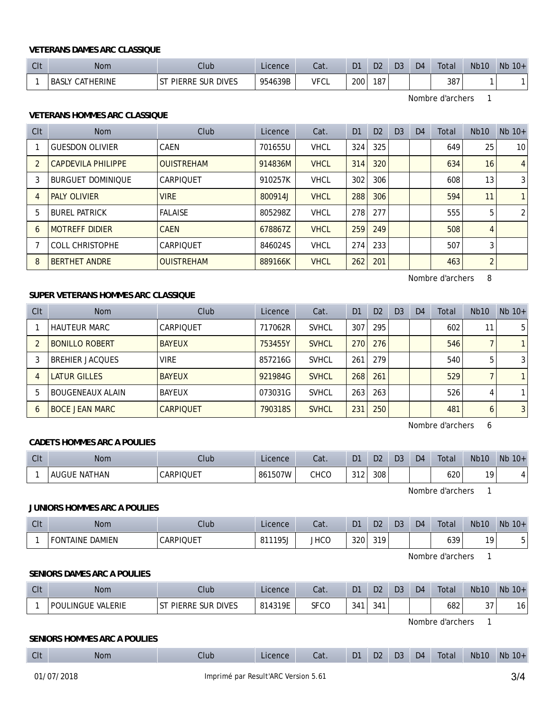#### **VETERANS DAMES ARC CLASSIQUE**

| $\bigcap_{i=1}^{n}$<br>UR | <b>Nom</b>                | Club                                                       | Licence | Cat.        | D <sub>1</sub> | D <sub>2</sub> | D <sub>3</sub> | D <sub>4</sub> | Total | <b>Nb10</b> | <b>Nb</b><br>$10+$ |
|---------------------------|---------------------------|------------------------------------------------------------|---------|-------------|----------------|----------------|----------------|----------------|-------|-------------|--------------------|
|                           | CATHERINE<br><b>BASLY</b> | <b>DIVES</b><br><b>PIERRE</b><br><b>SUR</b><br>$^{\circ+}$ | 954639B | <b>VFCL</b> | 200            | 187            |                |                | 387   |             |                    |

Nombre d'archers 1

## **VETERANS HOMMES ARC CLASSIQUE**

| Clt | Nom                       | Club              | Licence | Cat.        | D <sub>1</sub> | D <sub>2</sub> | D3 | D <sub>4</sub> | Total | <b>Nb10</b>    | $Nb$ 10+        |
|-----|---------------------------|-------------------|---------|-------------|----------------|----------------|----|----------------|-------|----------------|-----------------|
|     | <b>GUESDON OLIVIER</b>    | CAEN              | 701655U | <b>VHCL</b> | 324            | 325            |    |                | 649   | 25             | 10 <sup>°</sup> |
|     | <b>CAPDEVILA PHILIPPE</b> | <b>OUISTREHAM</b> | 914836M | <b>VHCL</b> | 314            | 320            |    |                | 634   | 16             | $\overline{4}$  |
| 3   | <b>BURGUET DOMINIOUE</b>  | CARPIOUET         | 910257K | <b>VHCL</b> | 302            | 306            |    |                | 608   | 13             | 3               |
| 4   | <b>PALY OLIVIER</b>       | <b>VIRE</b>       | 800914J | <b>VHCL</b> | 288            | 306            |    |                | 594   | 11             | $\mathbf{1}$    |
| 5   | <b>BUREL PATRICK</b>      | <b>FALAISE</b>    | 805298Z | <b>VHCL</b> | 278            | 277            |    |                | 555   | 5              | 2               |
| 6   | <b>MOTREFF DIDIER</b>     | <b>CAEN</b>       | 678867Z | <b>VHCL</b> | 259            | 249            |    |                | 508   | 4              |                 |
|     | <b>COLL CHRISTOPHE</b>    | CARPIOUET         | 846024S | <b>VHCL</b> | 274            | 233            |    |                | 507   | 3              |                 |
| 8   | <b>BERTHET ANDRE</b>      | <b>OUISTREHAM</b> | 889166K | <b>VHCL</b> | 262            | 201            |    |                | 463   | $\overline{2}$ |                 |

Nombre d'archers 8

## **SUPER VETERANS HOMMES ARC CLASSIQUE**

| CIt        | <b>Nom</b>              | Club             | Licence | Cat.         | D <sub>1</sub> | D <sub>2</sub> | D <sub>3</sub> | D <sub>4</sub> | Total | <b>Nb10</b> | $Nb$ 10+       |
|------------|-------------------------|------------------|---------|--------------|----------------|----------------|----------------|----------------|-------|-------------|----------------|
|            | <b>HAUTEUR MARC</b>     | CARPIOUET        | 717062R | <b>SVHCL</b> | 307            | 295            |                |                | 602   | 11          | 51             |
|            | <b>BONILLO ROBERT</b>   | <b>BAYEUX</b>    | 753455Y | <b>SVHCL</b> | 270            | 276            |                |                | 546   |             |                |
|            | <b>BREHIER JACQUES</b>  | <b>VIRE</b>      | 857216G | <b>SVHCL</b> | 261            | 279            |                |                | 540   | 5           | 31             |
| 4          | LATUR GILLES            | <b>BAYEUX</b>    | 921984G | <b>SVHCL</b> | 268            | 261            |                |                | 529   |             |                |
| 5          | <b>BOUGENEAUX ALAIN</b> | BAYEUX           | 073031G | <b>SVHCL</b> | 263            | 263            |                |                | 526   | 4           |                |
| $\epsilon$ | <b>BOCE JEAN MARC</b>   | <b>CARPIQUET</b> | 790318S | <b>SVHCL</b> | 231            | 250            |                |                | 481   | 6           | 3 <sup>1</sup> |

Nombre d'archers 6

#### **CADETS HOMMES ARC A POULIES**

| $\bigcap$<br>UL | <b>Nom</b>                  | Club            | Licence | $2 - 1$<br>uαι. | D <sub>1</sub> | D <sub>2</sub> | D <sub>3</sub> | D <sub>4</sub> | Total | <b>Nb10</b> | <b>N<sub>b</sub></b><br>$10+$ |
|-----------------|-----------------------------|-----------------|---------|-----------------|----------------|----------------|----------------|----------------|-------|-------------|-------------------------------|
|                 | THAN<br><b>AUGUE</b><br>NAT | <b>ARPIQUET</b> | 861507W | CHCO            | 312            | 308            |                |                | 620   | 10          |                               |

Nombre d'archers 1

#### **JUNIORS HOMMES ARC A POULIES**

| CIt | <b>Nom</b>                       | Club             | Licence                            | Cat.        | D <sub>1</sub> | D <sub>2</sub> | D <sub>3</sub> | D <sub>4</sub> | Total | Nb <sub>10</sub> | <b>Nb</b><br>$10+$ |
|-----|----------------------------------|------------------|------------------------------------|-------------|----------------|----------------|----------------|----------------|-------|------------------|--------------------|
|     | <b>DAMIEN</b><br><b>FONTAINE</b> | <b>CARPIQUET</b> | 105<br>O <sub>1</sub><br>ÖΙ<br>7J- | <b>JHCO</b> | 320            | 319            |                |                | 639   | 10               |                    |

Nombre d'archers 1

#### **SENIORS DAMES ARC A POULIES**

| CIt | Nom                                | Club                                             | Licence | Cat. | D1  | D <sub>2</sub> | D <sub>3</sub> | D <sub>4</sub> | Total | <b>Nb10</b>  | <b>N<sub>b</sub></b><br>$10+$ |
|-----|------------------------------------|--------------------------------------------------|---------|------|-----|----------------|----------------|----------------|-------|--------------|-------------------------------|
|     | <b>VALERIE</b><br><b>POULINGUE</b> | <b>SUR DIVES</b><br>$\sim$<br><b>PIERRE</b><br>э | 814319E | SFCO | 341 | 0.11<br>34 I   |                |                | 682   | $\sim$<br>ັບ | u                             |

Nombre d'archers 1

## **SENIORS HOMMES ARC A POULIES**

| $\bigcap$<br>◡喉 | <b>Nom</b> | Club | Licence | Cat. | D <sub>1</sub> | D <sub>2</sub> | D <sub>3</sub> | D <sub>4</sub> | Total | <b>Nb10</b> | <b>N<sub>k</sub></b><br>$10+$ |
|-----------------|------------|------|---------|------|----------------|----------------|----------------|----------------|-------|-------------|-------------------------------|
|                 |            |      |         |      |                |                |                |                |       |             |                               |